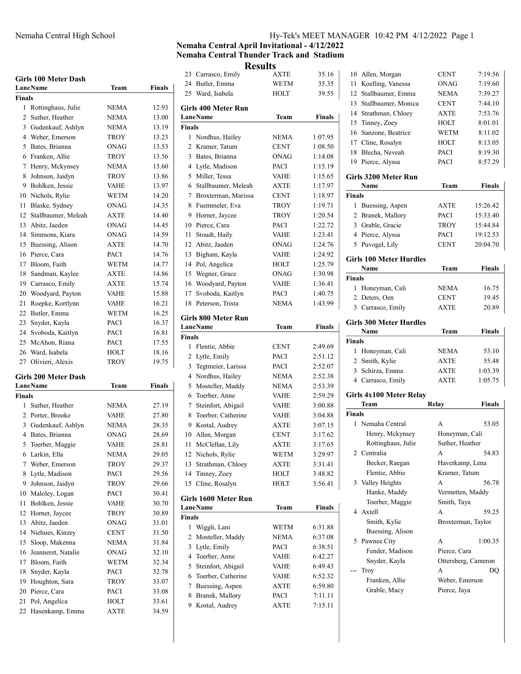#### Girls 100 Meter Dash

| LaneName      |                     | Team        | <b>Finals</b> |
|---------------|---------------------|-------------|---------------|
| <b>Finals</b> |                     |             |               |
| 1             | Rottinghaus, Julie  | <b>NEMA</b> | 12.93         |
| 2             | Suther, Heather     | <b>NEMA</b> | 13.00         |
| 3             | Gudenkauf, Ashlyn   | <b>NEMA</b> | 13.19         |
| 4             | Weber, Emerson      | <b>TROY</b> | 13.23         |
| 5             | Bates, Brianna      | <b>ONAG</b> | 13.53         |
| 6             | Franken, Allie      | <b>TROY</b> | 13.56         |
| 7             | Henry, Mckynsey     | <b>NEMA</b> | 13.60         |
| 8             | Johnson, Jaidyn     | <b>TROY</b> | 13.86         |
| 9             | Bohlken, Jessie     | <b>VAHE</b> | 13.97         |
| 10            | Nichols, Rylie      | WETM        | 14.20         |
| 11            | Blaske, Sydney      | ONAG        | 14.35         |
| 12            | Stallbaumer, Meleah | <b>AXTE</b> | 14.40         |
| 13            | Abitz, Jaeden       | ONAG        | 14.45         |
| 14            | Simmons, Kiara      | <b>ONAG</b> | 14.59         |
| 15            | Buessing, Alison    | <b>AXTE</b> | 14.70         |
| 16            | Pierce, Cara        | <b>PACI</b> | 14.76         |
| 17            | Bloom, Faith        | WETM        | 14.77         |
| 18            | Sandman, Kaylee     | <b>AXTE</b> | 14.86         |
| 19            | Carrasco, Emily     | <b>AXTE</b> | 15.74         |
| 20            | Woodyard, Payton    | <b>VAHE</b> | 15.88         |
| 21            | Roepke, Kortlynn    | <b>VAHE</b> | 16.21         |
| 22            | Butler, Emma        | <b>WETM</b> | 16.25         |
| 23            | Snyder, Kayla       | <b>PACI</b> | 16.37         |
| 24            | Svoboda, Kaitlyn    | <b>PACI</b> | 16.81         |
| 25            | McAhon, Riana       | <b>PACI</b> | 17.55         |
| 26            | Ward, Isabela       | HOLT        | 18.16         |
| 27            | Olivieri, Alexis    | <b>TROY</b> | 19.75         |

#### Girls 200 Meter Dash

| LaneName      |                    | Team        | <b>Finals</b> |  |  |
|---------------|--------------------|-------------|---------------|--|--|
| <b>Finals</b> |                    |             |               |  |  |
| 1             | Suther, Heather    | <b>NEMA</b> | 27.19         |  |  |
| 2             | Porter, Brooke     | <b>VAHE</b> | 27.80         |  |  |
| 3             | Gudenkauf, Ashlyn  | <b>NEMA</b> | 28.35         |  |  |
| 4             | Bates, Brianna     | <b>ONAG</b> | 28.69         |  |  |
| 5             | Toerber, Maggie    | <b>VAHE</b> | 28.81         |  |  |
| 6             | Larkin, Ella       | <b>NEMA</b> | 29.05         |  |  |
| 7             | Weber, Emerson     | <b>TROY</b> | 29.37         |  |  |
| 8             | Lytle, Madison     | <b>PACI</b> | 29.56         |  |  |
| 9             | Johnson, Jaidyn    | <b>TROY</b> | 29.66         |  |  |
| 10            | Maloley, Logan     | <b>PACI</b> | 30.41         |  |  |
| 11            | Bohlken, Jessie    | <b>VAHE</b> | 30.70         |  |  |
| 12            | Horner, Jaycee     | <b>TROY</b> | 30.89         |  |  |
| 13            | Abitz, Jaeden      | <b>ONAG</b> | 31.01         |  |  |
| 14            | Niehues, Kinzey    | <b>CENT</b> | 31.50         |  |  |
| 15            | Sloop, Makenna     | <b>NEMA</b> | 31.84         |  |  |
| 16            | Jeanneret, Natalie | <b>ONAG</b> | 32.10         |  |  |
| 17            | Bloom, Faith       | <b>WETM</b> | 32.34         |  |  |
| 18            | Snyder, Kayla      | <b>PACI</b> | 32.78         |  |  |
| 19            | Houghton, Sara     | <b>TROY</b> | 33.07         |  |  |
| 20            | Pierce, Cara       | <b>PACI</b> | 33.08         |  |  |
| 21            | Pol, Angelica      | <b>HOLT</b> | 33.61         |  |  |
| 22            | Hasenkamp, Emma    | <b>AXTE</b> | 34.59         |  |  |

#### Nemaha Central High School Hy-Tek's MEET MANAGER 10:42 PM 4/12/2022 Page 1

## Nemaha Central April Invitational - 4/12/2022 Nemaha Central Thunder Track and Stadium

|               | <b>Results</b>                  |             |         |  |
|---------------|---------------------------------|-------------|---------|--|
|               | 23 Carrasco, Emily              | AXTE        | 35.16   |  |
|               | 24 Butler, Emma                 | WETM        | 35.35   |  |
|               | 25 Ward, Isabela                | HOLT        | 39.55   |  |
|               | Girls 400 Meter Run             |             |         |  |
|               | <b>LaneName</b>                 | Team        | Finals  |  |
| <b>Finals</b> |                                 |             |         |  |
| $\mathbf{1}$  | Nordhus, Hailey                 | <b>NEMA</b> | 1:07.95 |  |
| 2             | Kramer, Tatum                   | <b>CENT</b> | 1:08.50 |  |
| 3             | Bates, Brianna                  | ONAG        | 1:14.08 |  |
| 4             | Lytle, Madison                  | <b>PACI</b> | 1:15.19 |  |
| 5             | Miller, Tessa                   | VAHE        | 1:15.65 |  |
| 6             | Stallbaumer, Meleah             | AXTE        | 1:17.97 |  |
| 7             | Broxterman, Marissa             | CENT        | 1:18.97 |  |
| 8             | Fuemmeler, Eva                  | TROY        | 1:19.71 |  |
| 9.            | Horner, Jaycee                  | TROY        | 1:20.54 |  |
| 10            | Pierce, Cara                    | PACI        | 1:22.72 |  |
|               | 11 Stoudt, Haily                | VAHE        | 1:23.41 |  |
|               | 12 Abitz, Jaeden                | ONAG        | 1:24.76 |  |
|               | 13 Bigham, Kayla                | VAHE        | 1:24.92 |  |
|               | 14 Pol, Angelica                | HOLT        | 1:25.79 |  |
|               | 15 Wegner, Grace                | ONAG        | 1:30.98 |  |
| 16            | Woodyard, Payton                | VAHE        | 1:36.41 |  |
| 17            | Svoboda, Kaitlyn                | PACI        | 1:40.75 |  |
|               | 18 Peterson, Trista             | <b>NEMA</b> | 1:43.99 |  |
|               |                                 |             |         |  |
|               | Girls 800 Meter Run<br>LaneName | Team        | Finals  |  |
| <b>Finals</b> |                                 |             |         |  |
|               |                                 |             |         |  |
|               |                                 |             |         |  |
| 1             | Flentie, Abbie                  | <b>CENT</b> | 2:49.69 |  |
| 2             | Lytle, Emily                    | PACI        | 2:51.12 |  |
| 3             | Tegtmeier, Larissa              | PACI        | 2:52.07 |  |
| 4             | Nordhus, Hailey                 | <b>NEMA</b> | 2:52.38 |  |
| 5             | Mosteller, Maddy                | <b>NEMA</b> | 2:53.39 |  |
| 6             | Toerber, Anne                   | VAHE        | 2:59.29 |  |
| 7             | Steinfort, Abigail              | VAHE        | 3:00.88 |  |
| 8             | Toerber, Catherine              | VAHE        | 3:04.88 |  |
| 9.            | Kostal, Audrey                  | AXTE        | 3:07.15 |  |
|               | 10 Allen, Morgan                | <b>CENT</b> | 3:17.62 |  |
|               | 11 McClellan, Lily              | <b>AXTE</b> | 3:17.65 |  |
|               | 12 Nichols, Rylie               | WETM        | 3:29.97 |  |
|               | 13 Strathman, Chloey            | <b>AXTE</b> | 3:31.41 |  |
| 14            | Tinney, Zoey                    | HOLT        | 3:48.82 |  |
| 15            | Cline, Rosalyn                  | HOLT        | 3:56.41 |  |
|               | Girls 1600 Meter Run            |             |         |  |
|               | LaneName                        | Team        | Finals  |  |
| Finals        |                                 |             |         |  |
| 1             | Wiggli, Lani                    | WETM        | 6:31.88 |  |
| 2             | Mosteller, Maddy                | NEMA        | 6:37.08 |  |
| 3             | Lytle, Emily                    | PACI        | 6:38.51 |  |
|               | 4 Toerber, Anne                 | VAHE        | 6:42.27 |  |
| 5             | Steinfort, Abigail              | VAHE        | 6:49.43 |  |
| 6             | Toerber, Catherine              | VAHE        | 6:52.32 |  |
| 7             | Buessing, Aspen                 | AXTE        | 6:59.80 |  |
| 8             | Branek, Mallory                 | PACI        | 7:11.11 |  |

|               | 10 Allen, Morgan                | CENT                            | 7:19.56                   |
|---------------|---------------------------------|---------------------------------|---------------------------|
| 11            | Koelling, Vanessa               | ONAG                            | 7:19.60                   |
| 12            | Stallbaumer, Emma               | NEMA                            | 7:39.27                   |
| 13            | Stallbaumer, Monica             | <b>CENT</b>                     | 7:44.10                   |
|               | 14 Strathman, Chloey            | <b>AXTE</b>                     | 7:53.76                   |
|               | 15 Tinney, Zoey                 | <b>HOLT</b>                     | 8:01.01                   |
| 16            | Sanzone, Beatrice               | <b>WETM</b>                     | 8:11.02                   |
|               | 17 Cline, Rosalyn               | <b>HOLT</b>                     | 8:13.05                   |
| 18            | Blecha, Neveah                  | PACI                            | 8:19.30                   |
| 19            | Pierce, Alyssa                  | <b>PACI</b>                     | 8:57.29                   |
|               |                                 |                                 |                           |
|               | Girls 3200 Meter Run<br>Name    | Team                            | <b>Finals</b>             |
| <b>Finals</b> |                                 |                                 |                           |
| 1             |                                 | AXTE                            | 15:26.42                  |
|               | Buessing, Aspen                 | PACI                            | 15:33.40                  |
|               | 2 Branek, Mallory               |                                 | 15:44.84                  |
|               | 3 Grable, Gracie                | <b>TROY</b>                     |                           |
|               | 4 Pierce, Alyssa                | PACI                            | 19:12.53                  |
|               | 5 Puvogel, Lily                 | <b>CENT</b>                     | 20:04.70                  |
|               | <b>Girls 100 Meter Hurdles</b>  |                                 |                           |
|               | Name                            | Team                            | Finals                    |
| <b>Finals</b> |                                 |                                 |                           |
| $\mathbf{1}$  | Honeyman, Cali                  | <b>NEMA</b>                     | 16.75                     |
|               | 2 Deters, Oen                   | <b>CENT</b>                     | 19.45                     |
|               | 3 Carrasco, Emily               | <b>AXTE</b>                     | 20.89                     |
|               | <b>Girls 300 Meter Hurdles</b>  |                                 |                           |
|               | Name                            | Team                            | <b>Finals</b>             |
| <b>Finals</b> |                                 |                                 |                           |
|               |                                 | <b>NEMA</b>                     | 53.10                     |
|               | 1 Honeyman, Cali                |                                 |                           |
| $\mathbf{2}$  | Smith, Kylie                    | <b>AXTE</b>                     | 55.48                     |
|               | 3 Schirza, Emma                 | AXTE<br><b>AXTE</b>             | 1:03.39                   |
|               | 4 Carrasco, Emily               |                                 | 1:05.75                   |
|               | Girls 4x100 Meter Relay         |                                 |                           |
|               | Team                            | Relay                           | Finals                    |
| <b>Finals</b> |                                 |                                 |                           |
|               |                                 |                                 |                           |
| 1.            | Nemaha Central                  | A                               | 53.05                     |
|               | Henry, Mckynsey                 | Honeyman, Cali                  |                           |
|               | Rottinghaus, Julie              | Suther, Heather                 |                           |
| 2             | Centralia                       | А                               | 54.83                     |
|               | Becker, Raegan                  | Haverkamp, Lena                 |                           |
|               | Flentie, Abbie                  | Kramer, Tatum                   |                           |
| 3             | Valley Heights                  | A                               | 56.78                     |
|               |                                 |                                 |                           |
|               | Hanke, Maddy<br>Toerber, Maggie | Vermetten, Maddy<br>Smith, Taya |                           |
| 4             | Axtell                          | А                               | 59.25                     |
|               | Smith, Kylie                    | Broxterman, Taylor              |                           |
|               |                                 |                                 |                           |
| 5             | Buessing, Alison<br>Pawnee City | А                               | 1:00.35                   |
|               | Fender, Madison                 | Pierce, Cara                    |                           |
|               | Snyder, Kayla                   |                                 |                           |
| --            |                                 | А                               | Ottersberg, Cameron<br>DQ |
|               | Troy                            |                                 |                           |
|               | Franken, Allie                  | Weber, Emerson                  |                           |
|               | Grable, Macy                    | Pierce, Jaya                    |                           |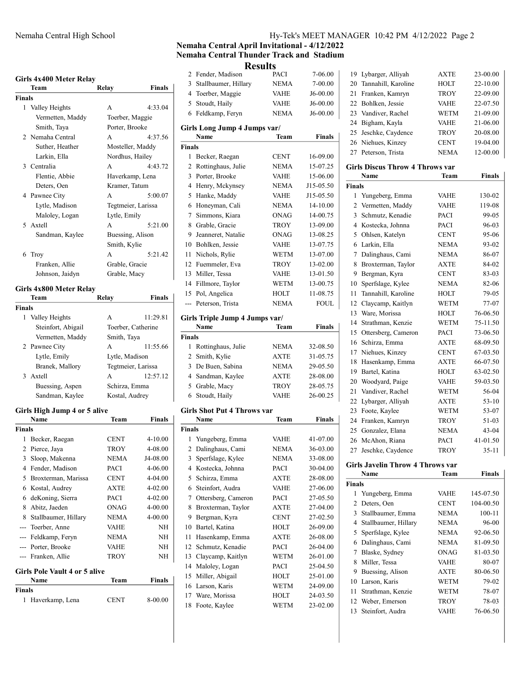|                    | Girls 4x400 Meter Relay<br>Team | Relay            | <b>Finals</b>      |  |
|--------------------|---------------------------------|------------------|--------------------|--|
| <b>Finals</b>      |                                 |                  |                    |  |
| 1                  | Valley Heights                  | A                | 4:33.04            |  |
|                    | Vermetten, Maddy                | Toerber, Maggie  |                    |  |
|                    | Smith, Taya                     | Porter, Brooke   |                    |  |
|                    | 2 Nemaha Central                | A                | 4:37.56            |  |
|                    | Suther, Heather                 |                  | Mosteller, Maddy   |  |
|                    | Larkin, Ella                    | Nordhus, Hailey  |                    |  |
|                    | 3 Centralia                     | А                | 4:43.72            |  |
|                    | Flentie, Abbie                  |                  | Haverkamp, Lena    |  |
|                    | Deters, Oen                     | Kramer, Tatum    |                    |  |
|                    | 4 Pawnee City                   | A                | 5:00.07            |  |
|                    | Lytle, Madison                  |                  | Tegtmeier, Larissa |  |
|                    | Maloley, Logan                  | Lytle, Emily     |                    |  |
| 5                  | Axtell                          | A                | 5:21.00            |  |
|                    | Sandman, Kaylee                 | Buessing, Alison |                    |  |
|                    |                                 |                  | Smith, Kylie       |  |
| 6                  | Troy                            | A                | 5:21.42            |  |
|                    | Franken, Allie                  | Grable, Gracie   |                    |  |
|                    | Johnson, Jaidyn                 | Grable, Macy     |                    |  |
|                    |                                 |                  |                    |  |
|                    | Girls 4x800 Meter Relay<br>Team | Relav            | Finals             |  |
| <b>Finals</b>      |                                 |                  |                    |  |
|                    | 1 Valley Heights                | A                | 11:29.81           |  |
|                    | Steinfort, Abigail              |                  | Toerber, Catherine |  |
|                    | Vermetten, Maddy                | Smith, Taya      |                    |  |
|                    | 2 Pawnee City                   | A                | 11:55.66           |  |
|                    | Lytle, Emily                    | Lytle, Madison   |                    |  |
|                    | Branek, Mallory                 |                  | Tegtmeier, Larissa |  |
| 3                  | Axtell                          | A                | 12:57.12           |  |
|                    | Buessing, Aspen                 | Schirza, Emma    |                    |  |
|                    | Sandman, Kaylee                 | Kostal, Audrey   |                    |  |
|                    |                                 |                  |                    |  |
|                    | Girls High Jump 4 or 5 alive    |                  |                    |  |
|                    |                                 |                  | <b>Finals</b>      |  |
|                    | Name                            | Team             |                    |  |
|                    |                                 |                  |                    |  |
| <b>Finals</b><br>1 | Becker, Raegan                  | <b>CENT</b>      | $4 - 10.00$        |  |
|                    | 2 Pierce, Jaya                  | <b>TROY</b>      | 4-08.00            |  |
| 3                  | Sloop, Makenna                  | <b>NEMA</b>      | J4-08.00           |  |
|                    | 4 Fender, Madison               | PACI             | 4-06.00            |  |

# Nemaha Central April Invitational - 4/12/2022 Nemaha Central Thunder Track and Stadium

|                | <b>Results</b>                     |             |               |
|----------------|------------------------------------|-------------|---------------|
| 2              | Fender, Madison                    | <b>PACI</b> | 7-06.00       |
| 3              | Stallbaumer, Hillary               | <b>NEMA</b> | 7-00.00       |
| $\overline{4}$ | Toerber, Maggie                    | VAHE        | J6-00.00      |
| 5              | Stoudt, Haily                      | <b>VAHE</b> | $J6-00.00$    |
| 6              | Feldkamp, Feryn                    | NEMA        | J6-00.00      |
|                | Girls Long Jump 4 Jumps var/       |             | <b>Finals</b> |
| <b>Finals</b>  | Name                               | Team        |               |
| 1              |                                    | <b>CENT</b> | 16-09.00      |
|                | Becker, Raegan                     | <b>NEMA</b> |               |
| 2              | Rottinghaus, Julie                 |             | 15-07.25      |
| 3              | Porter, Brooke                     | VAHE        | 15-06.00      |
| 4              | Henry, Mckynsey                    | NEMA        | J15-05.50     |
| 5              | Hanke, Maddy                       | <b>VAHE</b> | J15-05.50     |
| 6              | Honeyman, Cali                     | <b>NEMA</b> | 14-10.00      |
| 7              | Simmons, Kiara                     | <b>ONAG</b> | 14-00.75      |
| 8              | Grable, Gracie                     | <b>TROY</b> | 13-09.00      |
| 9.             | Jeanneret, Natalie                 | ONAG        | 13-08.25      |
| 10             | Bohlken, Jessie                    | <b>VAHE</b> | 13-07.75      |
| 11             | Nichols, Rylie                     | WETM        | 13-07.00      |
| 12             | Fuemmeler, Eva                     | TROY        | 13-02.00      |
|                | 13 Miller, Tessa                   | <b>VAHE</b> | 13-01.50      |
|                | 14 Fillmore, Taylor                | <b>WETM</b> | 13-00.75      |
|                | 15 Pol, Angelica                   | <b>HOLT</b> | 11-08.75      |
| ---            | Peterson, Trista                   | <b>NEMA</b> | <b>FOUL</b>   |
|                | Girls Triple Jump 4 Jumps var/     |             |               |
|                | Name                               | Team        | <b>Finals</b> |
|                |                                    |             |               |
| <b>Finals</b>  |                                    |             |               |
| 1              | Rottinghaus, Julie                 | NEMA        | 32-08.50      |
| 2              | Smith, Kylie                       | AXTE        | 31-05.75      |
| 3              | De Buen, Sabina                    | <b>NEMA</b> | 29-05.50      |
|                | 4 Sandman, Kaylee                  | <b>AXTE</b> | 28-08.00      |
| 5              | Grable, Macy                       | TROY        | 28-05.75      |
| 6              | Stoudt, Haily                      | <b>VAHE</b> | 26-00.25      |
|                | <b>Girls Shot Put 4 Throws var</b> |             |               |
|                | Name                               | Team        | <b>Finals</b> |
| <b>Finals</b>  |                                    |             |               |
| 1              | Yungeberg, Emma                    | VAHE        | 41-07.00      |
| 2              | Dalinghaus, Cami                   | NEMA        | 36-03.00      |
| 3              | Sperfslage, Kylee                  | NEMA        | 33-08.00      |
| 4              | Kostecka, Johnna                   | PACI        | 30-04.00      |
| 5              | Schirza, Emma                      | <b>AXTE</b> | 28-08.00      |
| 6              | Steinfort, Audra                   | <b>VAHE</b> | 27-06.00      |
| 7              | Ottersberg, Cameron                | PACI        | 27-05.50      |
| 8              | Broxterman, Taylor                 | <b>AXTE</b> | 27-04.00      |
| 9              | Bergman, Kyra                      | <b>CENT</b> | 27-02.50      |
| 10             | Bartel, Katina                     | HOLT        | 26-09.00      |
| 11             | Hasenkamp, Emma                    | AXTE        | 26-08.00      |
| 12             | Schmutz, Kenadie                   | PACI        | 26-04.00      |
| 13             | Claycamp, Kaitlyn                  | WETM        | 26-01.00      |
| 14             | Maloley, Logan                     | PACI        | 25-04.50      |
| 15             | Miller, Abigail                    | HOLT        | 25-01.00      |
| 16             | Larson, Karis                      | WETM        | 24-09.00      |

18 Foote, Kaylee WETM 23-02.00

| 19 Lybarger, Alliyah   | <b>AXTE</b> | 23-00.00 |
|------------------------|-------------|----------|
| 20 Tannahill, Karoline | <b>HOLT</b> | 22-10.00 |
| 21 Franken, Kamryn     | <b>TROY</b> | 22-09.00 |
| 22 Bohlken, Jessie     | VAHE        | 22-07.50 |
| 23 Vandiver, Rachel    | WETM        | 21-09.00 |
| 24 Bigham, Kayla       | VAHE        | 21-06.00 |
| 25 Jeschke, Caydence   | <b>TROY</b> | 20-08.00 |
| 26 Niehues, Kinzey     | <b>CENT</b> | 19-04.00 |
| 27 Peterson, Trista    | <b>NEMA</b> | 12-00.00 |

| <b>Girls Discus Throw 4 Throws var</b> |                        |             |               |  |
|----------------------------------------|------------------------|-------------|---------------|--|
|                                        | Name                   | Team        | <b>Finals</b> |  |
| <b>Finals</b>                          |                        |             |               |  |
| 1                                      | Yungeberg, Emma        | <b>VAHE</b> | 130-02        |  |
| 2                                      | Vermetten, Maddy       | <b>VAHE</b> | 119-08        |  |
| 3                                      | Schmutz, Kenadie       | <b>PACI</b> | 99-05         |  |
| $\overline{4}$                         | Kostecka, Johnna       | <b>PACI</b> | 96-03         |  |
|                                        | 5 Ohlsen, Katelyn      | <b>CENT</b> | $95-06$       |  |
| 6                                      | Larkin, Ella           | <b>NEMA</b> | $93 - 02$     |  |
| 7                                      | Dalinghaus, Cami       | <b>NEMA</b> | 86-07         |  |
| 8                                      | Broxterman, Taylor     | <b>AXTE</b> | 84-02         |  |
| 9                                      | Bergman, Kyra          | <b>CENT</b> | $83 - 03$     |  |
| 10                                     | Sperfslage, Kylee      | <b>NEMA</b> | 82-06         |  |
| 11                                     | Tannahill, Karoline    | <b>HOLT</b> | 79-05         |  |
| 12                                     | Claycamp, Kaitlyn      | <b>WETM</b> | 77-07         |  |
| 13                                     | Ware, Morissa          | <b>HOLT</b> | 76-06.50      |  |
| 14                                     | Strathman, Kenzie      | <b>WETM</b> | 75-11.50      |  |
|                                        | 15 Ottersberg, Cameron | <b>PACI</b> | 73-06.50      |  |
|                                        | 16 Schirza, Emma       | <b>AXTE</b> | 68-09.50      |  |
| 17                                     | Niehues, Kinzey        | <b>CENT</b> | 67-03.50      |  |
| 18                                     | Hasenkamp, Emma        | <b>AXTE</b> | 66-07.50      |  |
| 19                                     | Bartel, Katina         | <b>HOLT</b> | 63-02.50      |  |
| 20                                     | Woodyard, Paige        | <b>VAHE</b> | 59-03.50      |  |
| 21                                     | Vandiver, Rachel       | <b>WETM</b> | 56-04         |  |
| 22                                     | Lybarger, Alliyah      | <b>AXTE</b> | $53-10$       |  |
| 23                                     | Foote, Kaylee          | <b>WETM</b> | 53-07         |  |
| 24                                     | Franken, Kamryn        | <b>TROY</b> | $51-03$       |  |
|                                        | 25 Gonzalez, Elana     | <b>NEMA</b> | $43 - 04$     |  |
| 26                                     | McAhon, Riana          | <b>PACI</b> | 41-01.50      |  |
| 27                                     | Jeschke, Caydence      | <b>TROY</b> | $35 - 11$     |  |
|                                        |                        |             |               |  |

### Girls Javelin Throw 4 Throws var

|               | <b>Name</b>          | <b>Team</b> | <b>Finals</b> |
|---------------|----------------------|-------------|---------------|
| <b>Finals</b> |                      |             |               |
|               | 1 Yungeberg, Emma    | VAHE        | 145-07.50     |
| 2             | Deters, Oen          | <b>CENT</b> | 104-00.50     |
| 3             | Stallbaumer, Emma    | <b>NEMA</b> | $100 - 11$    |
| 4             | Stallbaumer, Hillary | <b>NEMA</b> | 96-00         |
| 5             | Sperfslage, Kylee    | <b>NEMA</b> | 92-06.50      |
| 6             | Dalinghaus, Cami     | <b>NEMA</b> | 81-09.50      |
| 7             | Blaske, Sydney       | ONAG        | 81-03.50      |
| 8             | Miller, Tessa        | VAHE        | 80-07         |
| 9             | Buessing, Alison     | <b>AXTE</b> | 80-06.50      |
|               | 10 Larson, Karis     | WETM        | 79-02         |
| 11            | Strathman, Kenzie    | WETM        | 78-07         |
| 12            | Weber, Emerson       | <b>TROY</b> | 78-03         |
| 13            | Steinfort, Audra     | VAHE        | 76-06.50      |

| aloley, Logan    |                | Lytle, Emily       |               |  |
|------------------|----------------|--------------------|---------------|--|
| e11              | A              | 5:21.00            |               |  |
| ndman, Kaylee    |                | Buessing, Alison   |               |  |
|                  | Smith, Kylie   |                    | $\frac{1}{2}$ |  |
|                  | A              | 5:21.42            | $\mathbf{1}$  |  |
| anken, Allie     | Grable, Gracie |                    | Ľ             |  |
| hnson, Jaidyn    | Grable, Macy   |                    | 11            |  |
| 800 Meter Relav  |                |                    | $\mathbf{1}$  |  |
| m                | Relay          | <b>Finals</b>      | 1:            |  |
|                  |                |                    |               |  |
| ey Heights       | A              | 11:29.81           | Gi            |  |
| einfort, Abigail |                | Toerber, Catherine |               |  |
| rmetten, Maddy   | Smith, Taya    |                    | Fir           |  |
|                  |                |                    |               |  |

| nee City          | А                                            | 11:55.66           |  |
|-------------------|----------------------------------------------|--------------------|--|
| tle, Emily        |                                              | Lytle, Madison     |  |
| ranek, Mallory    |                                              | Tegtmeier, Larissa |  |
| e11               |                                              | 12:57.12           |  |
| uessing, Aspen    | Schirza, Emma                                |                    |  |
| ممادح لاسميسانيين | $V_{\alpha}$ at all $\Lambda$ and $\mu$ axis |                    |  |

|               | Name                          | Team        | <b>Finals</b> |
|---------------|-------------------------------|-------------|---------------|
| <b>Finals</b> |                               |             |               |
| 1             | Becker, Raegan                | <b>CENT</b> | $4 - 10.00$   |
| 2             | Pierce, Jaya                  | <b>TROY</b> | 4-08.00       |
| 3             | Sloop, Makenna                | <b>NEMA</b> | J4-08.00      |
| 4             | Fender, Madison               | <b>PACI</b> | 4-06.00       |
| 5             | Broxterman, Marissa           | <b>CENT</b> | 4-04.00       |
| 6             | Kostal, Audrey                | <b>AXTE</b> | $4 - 02.00$   |
| 6             | deKoning, Sierra              | PACI        | $4 - 02.00$   |
| 8             | Abitz, Jaeden                 | ONAG        | 4-00.00       |
| 8             | Stallbaumer, Hillary          | <b>NEMA</b> | 4-00.00       |
|               | --- Toerber, Anne             | <b>VAHE</b> | NH            |
| $---$         | Feldkamp, Feryn               | <b>NEMA</b> | NH            |
|               | --- Porter, Brooke            | <b>VAHE</b> | <b>NH</b>     |
|               | --- Franken, Allie            | <b>TROY</b> | NΗ            |
|               | Girls Pole Vault 4 or 5 alive |             |               |
|               | Name                          | Team        | <b>Finals</b> |

| Team        | Finals  |
|-------------|---------|
|             |         |
| <b>CENT</b> | 8-00.00 |
|             |         |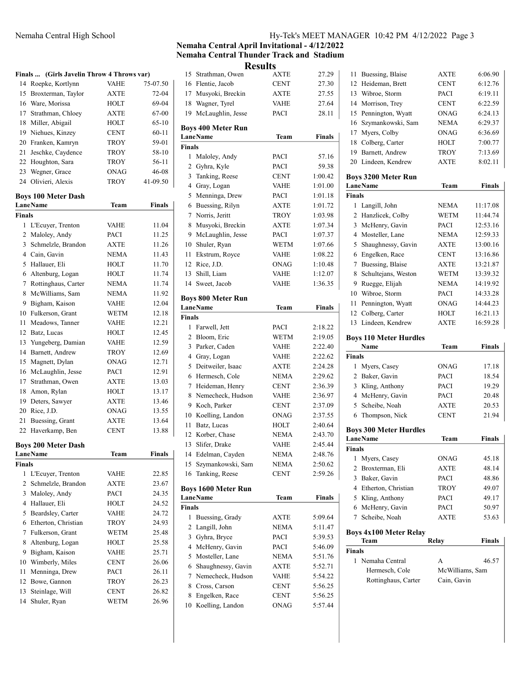#### Nemaha Central High School **Hy-Tek's MEET MANAGER** 10:42 PM 4/12/2022 Page 3

#### Nemaha Central April Invitational - 4/12/2022 Nemaha Central Thunder Track and Stadium  $\mathbf{D}$  such  $\mathbf{L}$

Finals ... (Girls Javelin Throw 4 Throws var) 14 Roepke, Kortlynn VAHE 75-07.50 15 Broxterman, Taylor AXTE 72-04 16 Ware, Morissa HOLT 69-04 17 Strathman, Chloey AXTE 67-00 18 Miller, Abigail HOLT 65-10 19 Niehues, Kinzey CENT 60-11 20 59-01 Franken, Kamryn TROY 21 Jeschke, Caydence TROY 58-10 22 Houghton, Sara TROY 56-11 23 Wegner, Grace ONAG 46-08 24 Olivieri, Alexis TROY 41-09.50 Boys 100 Meter Dash LaneName Team Finals Finals 1 11.04 L'Ecuyer, Trenton VAHE 2 Maloley, Andy PACI 11.25 3 Schmelzle, Brandon AXTE 11.26 4 Cain, Gavin NEMA 11.43 5 Hallauer, Eli HOLT 11.70 6 11.74 Altenburg, Logan HOLT 7 Rottinghaus, Carter NEMA 11.74 8 McWilliams, Sam NEMA 11.92 9 Bigham, Kaison VAHE 12.04 10 Fulkerson, Grant WETM 12.18 11 Meadows, Tanner VAHE 12.21 12 Batz, Lucas HOLT 12.45 13 Yungeberg, Damian VAHE 12.59 14 Barnett, Andrew TROY 12.69 15 Magnett, Dylan ONAG 12.71 16 McLaughlin, Jesse PACI 12.91 17 Strathman, Owen AXTE 13.03 18 Amon, Rylan HOLT 13.17 19 13.46 Deters, Sawyer AXTE 20 Rice, J.D. **ONAG** 13.55 21 Buessing, Grant AXTE 13.64 22 Haverkamp, Ben CENT 13.88 Boys 200 Meter Dash LaneName Team Finals Finals 1 22.85 L'Ecuyer, Trenton VAHE 2 Schmelzle, Brandon AXTE 23.67 3 Maloley, Andy PACI 24.35 4 Hallauer, Eli HOLT 24.52 5 Beardsley, Carter VAHE 24.72 6 24.93 Etherton, Christian TROY 7 25.48 Fulkerson, Grant WETM 8 25.58 Altenburg, Logan HOLT 9 Bigham, Kaison VAHE 25.71 10 Wimberly, Miles CENT 26.06 11 Menninga, Drew PACI 26.11 12 Bowe, Gannon TROY 26.23 13 Steinlage, Will CENT 26.82

14 Shuler, Ryan WETM 26.96

|                | Acsults                    |             |               |
|----------------|----------------------------|-------------|---------------|
| 15             | Strathman, Owen            | AXTE        | 27.29         |
|                | 16 Flentie, Jacob          | <b>CENT</b> | 27.30         |
|                | 17 Musyoki, Breckin        | AXTE        | 27.55         |
| 18             | Wagner, Tyrel              | VAHE        | 27.64         |
|                | 19 McLaughlin, Jesse       | PACI        | 28.11         |
|                | <b>Boys 400 Meter Run</b>  |             |               |
|                | <b>LaneName</b>            | Team        | <b>Finals</b> |
| <b>Finals</b>  |                            |             |               |
|                | 1 Maloley, Andy            | PACI        | 57.16         |
| $\mathbf{2}$   | Gyhra, Kyle                | PACI        | 59.38         |
| $\overline{3}$ | Tanking, Reese             | CENT        | 1:00.42       |
|                | 4 Gray, Logan              | VAHE        | 1:01.00       |
|                | 5 Menninga, Drew           | PACI        | 1:01.18       |
|                | 6 Buessing, Rilyn          | AXTE        | 1:01.72       |
|                | 7 Norris, Jeritt           | TROY        | 1:03.98       |
| 8              | Musyoki, Breckin           | <b>AXTE</b> | 1:07.34       |
|                | 9 McLaughlin, Jesse        | PACI        | 1:07.37       |
|                | 10 Shuler, Ryan            | <b>WETM</b> | 1:07.66       |
|                | 11 Ekstrum, Royce          | VAHE        | 1:08.22       |
|                | 12 Rice, J.D.              | ONAG        | 1:10.48       |
|                | 13 Shill, Liam             | VAHE        | 1:12.07       |
|                | 14 Sweet, Jacob            | VAHE        | 1:36.35       |
|                |                            |             |               |
|                | <b>Boys 800 Meter Run</b>  |             |               |
|                | <b>LaneName</b>            | Team        | <b>Finals</b> |
| <b>Finals</b>  |                            |             |               |
|                | 1 Farwell, Jett            | PACI        | 2:18.22       |
|                | 2 Bloom, Eric              | <b>WETM</b> | 2:19.05       |
|                | 3 Parker, Caden            | <b>VAHE</b> | 2:22.40       |
|                | 4 Gray, Logan              | VAHE        | 2:22.62       |
| 5              | Deitweiler, Isaac          | AXTE        | 2:24.28       |
|                | 6 Hermesch, Cole           | NEMA        | 2:29.62       |
| 7              | Heideman, Henry            | <b>CENT</b> | 2:36.39       |
| 8              | Nemecheck, Hudson          | VAHE        | 2:36.97       |
| 9              | Koch, Parker               | CENT        | 2:37.09       |
|                | 10 Koelling, Landon        | ONAG        | 2:37.55       |
|                | 11 Batz, Lucas             | HOLT        | 2:40.64       |
|                | 12 Korber, Chase           | <b>NEMA</b> | 2:43.70       |
| 13             | Slifer, Drake              | VAHE        | 2:45.44       |
|                | 14 Edelman, Cayden         | NEMA        | 2:48.76       |
| 15             | Szymankowski, Sam          | <b>NEMA</b> | 2:50.62       |
| 16             | Tanking, Reese             | CENT        | 2:59.26       |
|                | <b>Boys 1600 Meter Run</b> |             |               |
|                | <b>LaneName</b>            | Team        | Finals        |
| <b>Finals</b>  |                            |             |               |
| 1              | Buessing, Grady            | AXTE        | 5:09.64       |
| 2              | Langill, John              | <b>NEMA</b> | 5:11.47       |
| 3              | Gyhra, Bryce               | PACI        | 5:39.53       |
|                | 4 McHenry, Gavin           | PACI        | 5:46.09       |
| 5              | Mosteller, Lane            | <b>NEMA</b> | 5:51.76       |
| 6              | Shaughnessy, Gavin         | <b>AXTE</b> | 5:52.71       |
| 7              | Nemecheck, Hudson          | VAHE        | 5:54.22       |
| 8              | Cross, Carson              | <b>CENT</b> | 5:56.25       |
| 8              | Engelken, Race             | <b>CENT</b> | 5:56.25       |
| 10             | Koelling, Landon           | ONAG        | 5:57.44       |
|                |                            |             |               |

| 11             | Buessing, Blaise              | <b>AXTE</b>     | 6:06.90              |
|----------------|-------------------------------|-----------------|----------------------|
| 12             | Heideman, Brett               | <b>CENT</b>     | 6:12.76              |
| 13             | Wibroe, Storm                 | PACI            | 6:19.11              |
| 14             | Morrison, Trey                | <b>CENT</b>     | 6:22.59              |
| 15             | Pennington, Wyatt             | ONAG            | 6:24.13              |
| 16             | Szymankowski, Sam             | <b>NEMA</b>     | 6:29.37              |
| 17             | Myers, Colby                  | ONAG            | 6:36.69              |
| 18             | Colberg, Carter               | HOLT            | 7:00.77              |
| 19             | Barnett, Andrew               | <b>TROY</b>     | 7:13.69              |
| 20             | Lindeen, Kendrew              | <b>AXTE</b>     | 8:02.11              |
|                | <b>Boys 3200 Meter Run</b>    |                 |                      |
|                | LaneName                      | Team            | <b>Finals</b>        |
| <b>Finals</b>  |                               |                 |                      |
| 1              | Langill, John                 | <b>NEMA</b>     | 11:17.08             |
| 2              | Hanzlicek, Colby              | <b>WETM</b>     | 11:44.74             |
| 3              | McHenry, Gavin                | <b>PACI</b>     | 12:53.16             |
| $\overline{4}$ | Mosteller, Lane               | <b>NEMA</b>     | 12:59.33             |
| 5              | Shaughnessy, Gavin            | <b>AXTE</b>     | 13:00.16             |
| 6              | Engelken, Race                | <b>CENT</b>     | 13:16.86             |
| 7              | Buessing, Blaise              | <b>AXTE</b>     | 13:21.87             |
| 8              | Schultejans, Weston           | WETM            | 13:39.32             |
| 9              | Ruegge, Elijah                | <b>NEMA</b>     | 14:19.92             |
| 10             | Wibroe, Storm                 | <b>PACI</b>     | 14:33.28             |
|                | Pennington, Wyatt             |                 |                      |
| 11             | Colberg, Carter               | <b>ONAG</b>     | 14:44.23<br>16:21.13 |
| 12             |                               | HOLT            |                      |
| 13             | Lindeen, Kendrew              | <b>AXTE</b>     | 16:59.28             |
|                | <b>Boys 110 Meter Hurdles</b> |                 |                      |
|                | Name                          | Team            | <b>Finals</b>        |
| <b>Finals</b>  |                               |                 |                      |
| 1              | Myers, Casey                  | ONAG            | 17.18                |
|                | 2 Baker, Gavin                | PACI            | 18.54                |
| 3              | Kling, Anthony                | PACI            | 19.29                |
|                | 4 McHenry, Gavin              | <b>PACI</b>     | 20.48                |
| 5              | Scheibe, Noah                 | <b>AXTE</b>     | 20.53                |
| 6              | Thompson, Nick                | <b>CENT</b>     | 21.94                |
|                | <b>Boys 300 Meter Hurdles</b> |                 |                      |
|                | LaneName                      | Team            | Finals               |
| Finals         |                               |                 |                      |
| 1              | Myers, Casey                  | ONAG            | 45.18                |
|                | 2 Broxterman, Eli             | AXTE            | 48.14                |
|                | 3 Baker, Gavin                | PACI            | 48.86                |
|                | 4 Etherton, Christian         | TROY            | 49.07                |
|                | 5 Kling, Anthony              | PACI            | 49.17                |
|                | 6 McHenry, Gavin              | PACI            | 50.97                |
| 7              | Scheibe, Noah                 | AXTE            | 53.63                |
|                | <b>Boys 4x100 Meter Relay</b> |                 |                      |
|                | Team                          | Relay           | Finals               |
| Finals         |                               |                 |                      |
| 1              | Nemaha Central                | А               | 46.57                |
|                | Hermesch, Cole                | McWilliams, Sam |                      |
|                | Rottinghaus, Carter           | Cain, Gavin     |                      |
|                |                               |                 |                      |
|                |                               |                 |                      |
|                |                               |                 |                      |
|                |                               |                 |                      |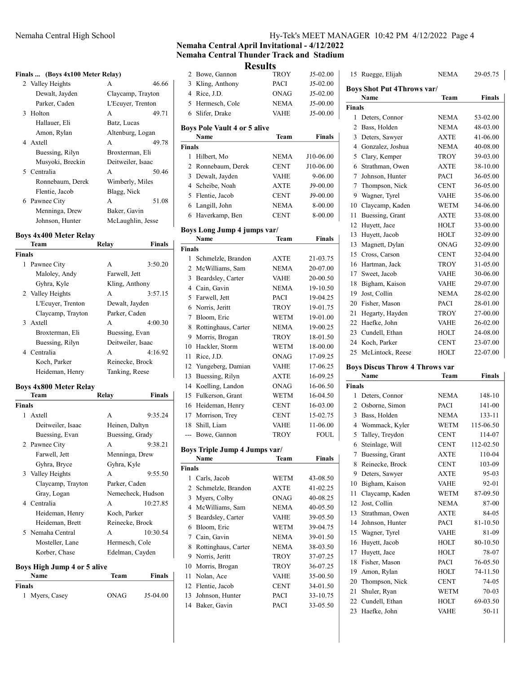#### Finals ... (Boys 4x100 Meter Relay)

| $max.$ $$ $10013$ $72100$ $10000$ $1000$ |                   |                   |
|------------------------------------------|-------------------|-------------------|
| 2 Valley Heights                         | A                 | 46.66             |
| Dewalt, Jayden                           |                   | Claycamp, Trayton |
| Parker, Caden                            |                   | L'Ecuyer, Trenton |
| 3 Holton                                 | A                 | 49.71             |
| Hallauer, Eli                            | Batz, Lucas       |                   |
| Amon, Rylan                              |                   | Altenburg, Logan  |
| 4 Axtell                                 | A                 | 49.78             |
| Buessing, Rilyn                          | Broxterman, Eli   |                   |
| Musyoki, Breckin                         | Deitweiler, Isaac |                   |
| 5 Centralia                              | A                 | 50.46             |
| Ronnebaum, Derek                         | Wimberly, Miles   |                   |
| Flentie, Jacob                           | Blagg, Nick       |                   |
| 6 Pawnee City                            | A                 | 51.08             |
| Menninga, Drew                           | Baker, Gavin      |                   |
| Johnson, Hunter                          |                   | McLaughlin, Jesse |

### Boys 4x400 Meter Relay

|        | <b>Team</b>       | Relay             | <b>Finals</b> |
|--------|-------------------|-------------------|---------------|
| Finals |                   |                   |               |
| 1      | Pawnee City       | A                 | 3:50.20       |
|        | Maloley, Andy     | Farwell, Jett     |               |
|        | Gyhra, Kyle       | Kling, Anthony    |               |
|        | 2 Valley Heights  | A                 | 3:57.15       |
|        | L'Ecuyer, Trenton | Dewalt, Jayden    |               |
|        | Claycamp, Trayton | Parker, Caden     |               |
|        | 3 Axtell          | A                 | 4:00.30       |
|        | Broxterman, Eli   | Buessing, Evan    |               |
|        | Buessing, Rilyn   | Deitweiler, Isaac |               |
|        | 4 Centralia       | A                 | 4:16.92       |
|        | Koch, Parker      | Reinecke, Brock   |               |
|        | Heideman, Henry   | Tanking, Reese    |               |
|        |                   |                   |               |

### Boys 4x800 Meter Relay

|        | Team              | Relay           | <b>Finals</b>     |
|--------|-------------------|-----------------|-------------------|
| Finals |                   |                 |                   |
|        | 1 Axtell          | A               | 9:35.24           |
|        | Deitweiler, Isaac | Heinen, Daltyn  |                   |
|        | Buessing, Evan    | Buessing, Grady |                   |
|        | 2 Pawnee City     | A               | 9:38.21           |
|        | Farwell, Jett     |                 | Menninga, Drew    |
|        | Gyhra, Bryce      | Gyhra, Kyle     |                   |
|        | 3 Valley Heights  | A               | 9:55.50           |
|        | Claycamp, Trayton | Parker, Caden   |                   |
|        | Gray, Logan       |                 | Nemecheck, Hudson |
|        | 4 Centralia       | A               | 10:27.85          |
|        | Heideman, Henry   | Koch, Parker    |                   |
|        | Heideman, Brett   |                 | Reinecke, Brock   |
|        | 5 Nemaha Central  | A               | 10:30.54          |
|        | Mosteller, Lane   | Hermesch, Cole  |                   |
|        | Korber, Chase     |                 | Edelman, Cayden   |
|        |                   |                 |                   |

### Boys High Jump 4 or 5 alive

| Name           | Team        | <b>Finals</b> |
|----------------|-------------|---------------|
| Finals         |             |               |
| 1 Myers, Casey | <b>ONAG</b> | J5-04.00      |

### Nemaha Central High School Hy-Tek's MEET MANAGER 10:42 PM 4/12/2022 Page 4

# Nemaha Central April Invitational - 4/12/2022 Nemaha Central Thunder Track and Stadium

|          | <b>Results</b>                              |                            |                      |
|----------|---------------------------------------------|----------------------------|----------------------|
| 2        | Bowe, Gannon                                | <b>TROY</b>                | J5-02.00             |
| 3        | Kling, Anthony                              | <b>PACI</b>                | $J5-02.00$           |
|          | 4 Rice, J.D.                                | ONAG                       | J5-02.00             |
| 5        | Hermesch, Cole                              | NEMA                       | J5-00.00             |
| 6        | Slifer, Drake                               | <b>VAHE</b>                | J5-00.00             |
|          | <b>Boys Pole Vault 4 or 5 alive</b><br>Name | Team                       | Finals               |
| Finals   |                                             |                            |                      |
| 1        | Hilbert, Mo                                 | <b>NEMA</b>                | J10-06.00            |
| 2        | Ronnebaum, Derek                            | <b>CENT</b>                | J10-06.00            |
| 3        | Dewalt, Jayden                              | <b>VAHE</b>                | 9-06.00              |
|          | 4 Scheibe, Noah                             | AXTE                       | J9-00.00             |
| 5        | Flentie, Jacob                              | <b>CENT</b>                | J9-00.00             |
|          | 6 Langill, John                             | NEMA                       | 8-00.00              |
| 6        | Haverkamp, Ben                              | <b>CENT</b>                | 8-00.00              |
|          |                                             |                            |                      |
|          | Boys Long Jump 4 jumps var/                 |                            |                      |
|          | Name                                        | Team                       | Finals               |
| Finals   |                                             |                            |                      |
| 1        | Schmelzle, Brandon                          | AXTE                       | 21-03.75             |
| 2        | McWilliams, Sam                             | <b>NEMA</b>                | 20-07.00             |
| 3        | Beardsley, Carter                           | VAHE                       | 20-00.50             |
|          | 4 Cain, Gavin                               | <b>NEMA</b>                | 19-10.50             |
| 5        | Farwell, Jett                               | <b>PACI</b>                | 19-04.25             |
|          | 6 Norris, Jeritt                            | <b>TROY</b>                | 19-01.75             |
| 7        | Bloom, Eric                                 | <b>WETM</b>                | 19-01.00             |
| 8        | Rottinghaus, Carter                         | <b>NEMA</b>                | 19-00.25             |
| 9        | Morris, Brogan                              | TROY                       | 18-01.50             |
| 10       | Hackler, Storm                              | WETM                       | 18-00.00             |
| 11       | Rice, J.D.                                  | ONAG                       | 17-09.25             |
| 12<br>13 | Yungeberg, Damian                           | <b>VAHE</b><br><b>AXTE</b> | 17-06.25<br>16-09.25 |
| 14       | Buessing, Rilyn<br>Koelling, Landon         | ONAG                       | 16-06.50             |
| 15       | Fulkerson, Grant                            | WETM                       | 16-04.50             |
| 16       | Heideman, Henry                             | <b>CENT</b>                | 16-03.00             |
| 17       | Morrison, Trey                              | <b>CENT</b>                | 15-02.75             |
| 18       | Shill, Liam                                 | VAHE                       | 11-06.00             |
| ---      | Bowe, Gannon                                | <b>TROY</b>                | <b>FOUL</b>          |
|          | Boys Triple Jump 4 Jumps var/               |                            |                      |
|          | Name                                        | Team                       | Finals               |
| Finals   |                                             |                            |                      |
| 1        | Carls, Jacob                                | WETM                       | 43-08.50             |
| 2        | Schmelzle, Brandon                          | <b>AXTE</b>                | 41-02.25             |
| 3        | Myers, Colby                                | <b>ONAG</b>                | 40-08.25             |
|          | 4 McWilliams, Sam                           | <b>NEMA</b>                | 40-05.50             |
| 5        | Beardsley, Carter                           | VAHE                       | 39-05.50             |
| 6        | Bloom, Eric                                 | <b>WETM</b>                | 39-04.75             |
| 7        | Cain, Gavin                                 | NEMA                       | 39-01.50             |
| 8        | Rottinghaus, Carter                         | <b>NEMA</b>                | 38-03.50             |
| 9        | Norris, Jeritt                              | TROY                       | 37-07.25             |
| 10       | Morris, Brogan                              | TROY                       | 36-07.25             |
| 11       | Nolan, Ace                                  | VAHE                       | 35-00.50             |
| 12       | Flentie, Jacob                              | <b>CENT</b>                | 34-01.50             |
| 13       | Johnson, Hunter                             | PACI                       | 33-10.75             |
| 14       | Baker, Gavin                                | <b>PACI</b>                | 33-05.50             |

| 15                                | Ruegge, Elijah                        | NEMA         | 29-05.75           |  |
|-----------------------------------|---------------------------------------|--------------|--------------------|--|
| <b>Boys Shot Put 4Throws var/</b> |                                       |              |                    |  |
|                                   | Name                                  | Team         | Finals             |  |
| <b>Finals</b>                     |                                       |              |                    |  |
| 1                                 | Deters, Connor                        | NEMA         | 53-02.00           |  |
| 2                                 | Bass, Holden                          | <b>NEMA</b>  | 48-03.00           |  |
| 3                                 | Deters, Sawyer                        | <b>AXTE</b>  | 41-06.00           |  |
| 4                                 | Gonzalez, Joshua                      | <b>NEMA</b>  | 40-08.00           |  |
| 5                                 | Clary, Kemper                         | <b>TROY</b>  | 39-03.00           |  |
| 6                                 | Strathman, Owen                       | <b>AXTE</b>  | 38-10.00           |  |
| 7                                 | Johnson, Hunter                       | <b>PACI</b>  | 36-05.00           |  |
| 7                                 | Thompson, Nick                        | <b>CENT</b>  | 36-05.00           |  |
| 9                                 | Wagner, Tyrel                         | VAHE         | 35-06.00           |  |
|                                   | 10 Claycamp, Kaden                    | <b>WETM</b>  | 34-06.00           |  |
| 11                                | Buessing, Grant                       | <b>AXTE</b>  | 33-08.00           |  |
| 12                                | Huyett, Jace                          | <b>HOLT</b>  | 33-00.00           |  |
| 13                                | Huyett, Jacob                         | HOLT         | 32-09.00           |  |
| 13                                | Magnett, Dylan                        | ONAG         | 32-09.00           |  |
| 15                                | Cross, Carson                         | <b>CENT</b>  | 32-04.00           |  |
| 16                                | Hartman, Jack                         | TROY         | 31-05.00           |  |
| 17                                | Sweet, Jacob                          | <b>VAHE</b>  | 30-06.00           |  |
| 18                                | Bigham, Kaison                        | <b>VAHE</b>  | 29-07.00           |  |
| 19                                | Jost, Collin                          | NEMA         | 28-02.00           |  |
|                                   | 20 Fisher, Mason                      | PACI         | 28-01.00           |  |
| 21                                | Hegarty, Hayden                       | TROY         | 27-00.00           |  |
|                                   | 22 Haefke, John                       | <b>VAHE</b>  | 26-02.00           |  |
|                                   | 23 Cundell, Ethan                     | HOLT         | 24-08.00           |  |
|                                   | 24 Koch, Parker                       | <b>CENT</b>  | 23-07.00           |  |
| 25                                | McLintock, Reese                      | HOLT         | 22-07.00           |  |
|                                   | <b>Boys Discus Throw 4 Throws var</b> |              |                    |  |
|                                   | Name                                  | Team         | <b>Finals</b>      |  |
| <b>Finals</b>                     |                                       |              |                    |  |
| 1                                 | Deters, Connor                        | <b>NEMA</b>  | 148-10             |  |
|                                   | 2 Osborne, Simon                      | <b>PACI</b>  | 141-00             |  |
| 3                                 | Bass, Holden                          | <b>NEMA</b>  | 133-11             |  |
|                                   | 4 Wommack, Kyler                      | <b>WETM</b>  | 115-06.50          |  |
| 5                                 | Talley, Treydon                       | <b>CENT</b>  | 114-07             |  |
| 6                                 | Steinlage, Will                       | <b>CENT</b>  | 112-02.50          |  |
| 7                                 | Buessing, Grant                       | AXTE         | 110-04             |  |
| 8                                 | Reinecke, Brock                       | <b>CENT</b>  | 103-09             |  |
| 9                                 | Deters, Sawyer                        | AXTE         | 95-03              |  |
| 10                                | Bigham, Kaison                        | VAHE         | 92-01              |  |
| 11                                | Claycamp, Kaden                       | WETM         | 87-09.50           |  |
| 12                                | Jost, Collin                          | <b>NEMA</b>  | 87-00              |  |
| 13                                | Strathman, Owen<br>Johnson, Hunter    | <b>AXTE</b>  | 84-05              |  |
| 14<br>15                          |                                       | PACI<br>VAHE | 81-10.50<br>81-09  |  |
| 16                                | Wagner, Tyrel<br>Huyett, Jacob        | HOLT         | 80-10.50           |  |
| 17                                | Huyett, Jace                          |              |                    |  |
|                                   | Fisher, Mason                         | HOLT         | 78-07<br>76-05.50  |  |
| 18<br>19                          | Amon, Rylan                           | PACI<br>HOLT | 74-11.50           |  |
| 20                                |                                       |              |                    |  |
| 21                                | Thompson, Nick<br>Shuler, Ryan        | CENT<br>WETM | 74-05<br>$70 - 03$ |  |
| 22                                | Cundell, Ethan                        | HOLT         | 69-03.50           |  |
| 23                                | Haefke, John                          | VAHE         | 50-11              |  |
|                                   |                                       |              |                    |  |